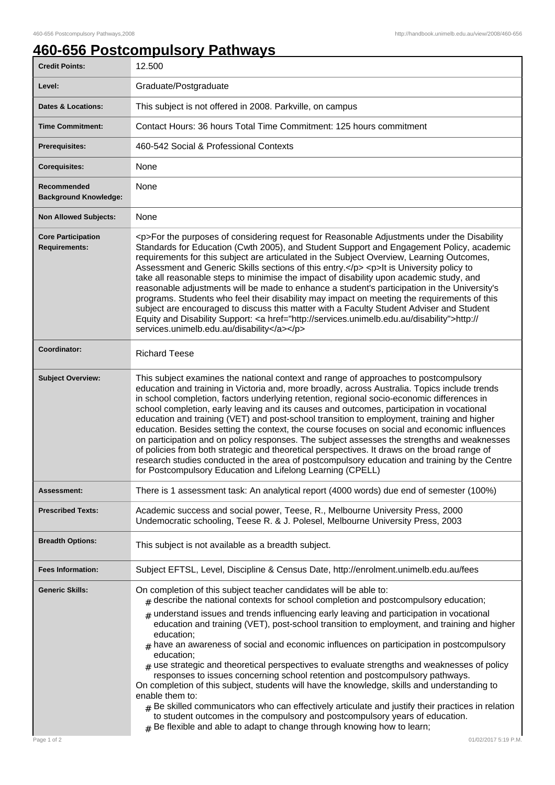## **460-656 Postcompulsory Pathways**

| 12.500                                                                                                                                                                                                                                                                                                                                                                                                                                                                                                                                                                                                                                                                                                                                                                                                                                                                                                                                                                                                                                                                                                   |
|----------------------------------------------------------------------------------------------------------------------------------------------------------------------------------------------------------------------------------------------------------------------------------------------------------------------------------------------------------------------------------------------------------------------------------------------------------------------------------------------------------------------------------------------------------------------------------------------------------------------------------------------------------------------------------------------------------------------------------------------------------------------------------------------------------------------------------------------------------------------------------------------------------------------------------------------------------------------------------------------------------------------------------------------------------------------------------------------------------|
| Graduate/Postgraduate                                                                                                                                                                                                                                                                                                                                                                                                                                                                                                                                                                                                                                                                                                                                                                                                                                                                                                                                                                                                                                                                                    |
| This subject is not offered in 2008. Parkville, on campus                                                                                                                                                                                                                                                                                                                                                                                                                                                                                                                                                                                                                                                                                                                                                                                                                                                                                                                                                                                                                                                |
| Contact Hours: 36 hours Total Time Commitment: 125 hours commitment                                                                                                                                                                                                                                                                                                                                                                                                                                                                                                                                                                                                                                                                                                                                                                                                                                                                                                                                                                                                                                      |
| 460-542 Social & Professional Contexts                                                                                                                                                                                                                                                                                                                                                                                                                                                                                                                                                                                                                                                                                                                                                                                                                                                                                                                                                                                                                                                                   |
| None                                                                                                                                                                                                                                                                                                                                                                                                                                                                                                                                                                                                                                                                                                                                                                                                                                                                                                                                                                                                                                                                                                     |
| None                                                                                                                                                                                                                                                                                                                                                                                                                                                                                                                                                                                                                                                                                                                                                                                                                                                                                                                                                                                                                                                                                                     |
| None                                                                                                                                                                                                                                                                                                                                                                                                                                                                                                                                                                                                                                                                                                                                                                                                                                                                                                                                                                                                                                                                                                     |
| <p>For the purposes of considering request for Reasonable Adjustments under the Disability<br/>Standards for Education (Cwth 2005), and Student Support and Engagement Policy, academic<br/>requirements for this subject are articulated in the Subject Overview, Learning Outcomes,<br/>Assessment and Generic Skills sections of this entry.</p> <p>lt is University policy to<br/>take all reasonable steps to minimise the impact of disability upon academic study, and<br/>reasonable adjustments will be made to enhance a student's participation in the University's<br/>programs. Students who feel their disability may impact on meeting the requirements of this<br/>subject are encouraged to discuss this matter with a Faculty Student Adviser and Student<br/>Equity and Disability Support: &lt; a href="http://services.unimelb.edu.au/disability"&gt;http://<br/>services.unimelb.edu.au/disability</p>                                                                                                                                                                             |
| <b>Richard Teese</b>                                                                                                                                                                                                                                                                                                                                                                                                                                                                                                                                                                                                                                                                                                                                                                                                                                                                                                                                                                                                                                                                                     |
| This subject examines the national context and range of approaches to postcompulsory<br>education and training in Victoria and, more broadly, across Australia. Topics include trends<br>in school completion, factors underlying retention, regional socio-economic differences in<br>school completion, early leaving and its causes and outcomes, participation in vocational<br>education and training (VET) and post-school transition to employment, training and higher<br>education. Besides setting the context, the course focuses on social and economic influences<br>on participation and on policy responses. The subject assesses the strengths and weaknesses<br>of policies from both strategic and theoretical perspectives. It draws on the broad range of<br>research studies conducted in the area of postcompulsory education and training by the Centre<br>for Postcompulsory Education and Lifelong Learning (CPELL)                                                                                                                                                             |
| There is 1 assessment task: An analytical report (4000 words) due end of semester (100%)                                                                                                                                                                                                                                                                                                                                                                                                                                                                                                                                                                                                                                                                                                                                                                                                                                                                                                                                                                                                                 |
| Academic success and social power, Teese, R., Melbourne University Press, 2000<br>Undemocratic schooling, Teese R. & J. Polesel, Melbourne University Press, 2003                                                                                                                                                                                                                                                                                                                                                                                                                                                                                                                                                                                                                                                                                                                                                                                                                                                                                                                                        |
| This subject is not available as a breadth subject.                                                                                                                                                                                                                                                                                                                                                                                                                                                                                                                                                                                                                                                                                                                                                                                                                                                                                                                                                                                                                                                      |
| Subject EFTSL, Level, Discipline & Census Date, http://enrolment.unimelb.edu.au/fees                                                                                                                                                                                                                                                                                                                                                                                                                                                                                                                                                                                                                                                                                                                                                                                                                                                                                                                                                                                                                     |
| On completion of this subject teacher candidates will be able to:<br>$_{\#}$ describe the national contexts for school completion and postcompulsory education;<br>$_{\text{\#}}$ understand issues and trends influencing early leaving and participation in vocational<br>education and training (VET), post-school transition to employment, and training and higher<br>education;<br>$*$ have an awareness of social and economic influences on participation in postcompulsory<br>education;<br>$#$ use strategic and theoretical perspectives to evaluate strengths and weaknesses of policy<br>responses to issues concerning school retention and postcompulsory pathways.<br>On completion of this subject, students will have the knowledge, skills and understanding to<br>enable them to:<br>$_{\rm H}$ Be skilled communicators who can effectively articulate and justify their practices in relation<br>to student outcomes in the compulsory and postcompulsory years of education.<br>$#$ Be flexible and able to adapt to change through knowing how to learn;<br>01/02/2017 5:19 P.M. |
|                                                                                                                                                                                                                                                                                                                                                                                                                                                                                                                                                                                                                                                                                                                                                                                                                                                                                                                                                                                                                                                                                                          |